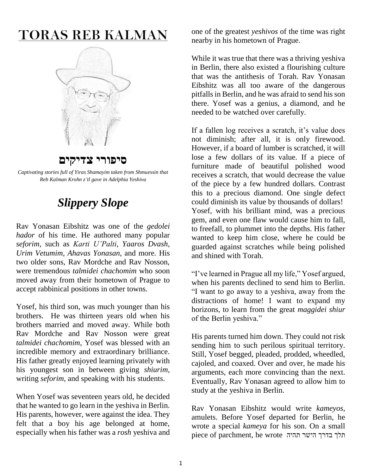# **TORAS REB KALMAN**



### **סיפורי צדיקים**

*Captivating stories full of Yiras Shamayim taken from Shmuessin that Reb Kalman Krohn z'tl gave in Adelphia Yeshiva*

## *Slippery Slope*

Rav Yonasan Eibshitz was one of the *gedolei hador* of his time. He authored many popular *seforim*, such as *Karti U'Palti*, *Yaaros Dvash*, *Urim Vetumim*, *Ahavas Yonasan*, and more. His two older sons, Rav Mordche and Rav Nosson, were tremendous *talmidei chachomim* who soon moved away from their hometown of Prague to accept rabbinical positions in other towns.

Yosef, his third son, was much younger than his brothers. He was thirteen years old when his brothers married and moved away. While both Rav Mordche and Rav Nosson were great *talmidei chachomim*, Yosef was blessed with an incredible memory and extraordinary brilliance. His father greatly enjoyed learning privately with his youngest son in between giving *shiurim*, writing *seforim*, and speaking with his students.

When Yosef was seventeen years old, he decided that he wanted to go learn in the yeshiva in Berlin. His parents, however, were against the idea. They felt that a boy his age belonged at home, especially when his father was a *rosh* yeshiva and

one of the greatest *yeshivos* of the time was right nearby in his hometown of Prague.

While it was true that there was a thriving yeshiva in Berlin, there also existed a flourishing culture that was the antithesis of Torah. Rav Yonasan Eibshitz was all too aware of the dangerous pitfalls in Berlin, and he was afraid to send his son there. Yosef was a genius, a diamond, and he needed to be watched over carefully.

If a fallen log receives a scratch, it's value does not diminish; after all, it is only firewood. However, if a board of lumber is scratched, it will lose a few dollars of its value. If a piece of furniture made of beautiful polished wood receives a scratch, that would decrease the value of the piece by a few hundred dollars. Contrast this to a precious diamond. One single defect could diminish its value by thousands of dollars! Yosef, with his brilliant mind, was a precious gem, and even one flaw would cause him to fall, to freefall, to plummet into the depths. His father wanted to keep him close, where he could be guarded against scratches while being polished and shined with Torah.

"I've learned in Prague all my life," Yosef argued, when his parents declined to send him to Berlin. "I want to go away to a yeshiva, away from the distractions of home! I want to expand my horizons, to learn from the great *maggidei shiur* of the Berlin yeshiva."

His parents turned him down. They could not risk sending him to such perilous spiritual territory. Still, Yosef begged, pleaded, prodded, wheedled, cajoled, and coaxed. Over and over, he made his arguments, each more convincing than the next. Eventually, Rav Yonasan agreed to allow him to study at the yeshiva in Berlin.

Rav Yonasan Eibshitz would write *kameyos*, amulets. Before Yosef departed for Berlin, he wrote a special *kameya* for his son. On a small piece of parchment, he wrote תהיה הישר בדרך תלך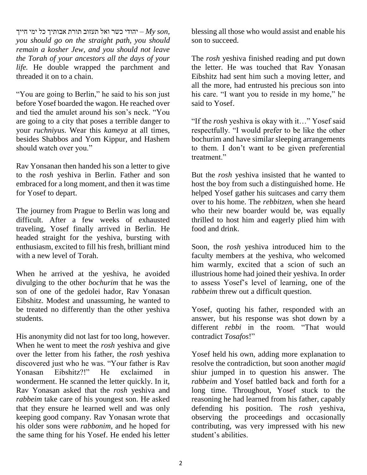ייך יהודי כשר ואל תעזוב תורת אבותיך כל ימי חייך  $-My$  son, *you should go on the straight path, you should remain a kosher Jew, and you should not leave the Torah of your ancestors all the days of your life.* He double wrapped the parchment and threaded it on to a chain.

"You are going to Berlin," he said to his son just before Yosef boarded the wagon. He reached over and tied the amulet around his son's neck. "You are going to a city that poses a terrible danger to your *ruchniyus*. Wear this *kameya* at all times, besides Shabbos and Yom Kippur, and Hashem should watch over you."

Rav Yonsanan then handed his son a letter to give to the *rosh* yeshiva in Berlin. Father and son embraced for a long moment, and then it was time for Yosef to depart.

The journey from Prague to Berlin was long and difficult. After a few weeks of exhausted traveling, Yosef finally arrived in Berlin. He headed straight for the yeshiva, bursting with enthusiasm, excited to fill his fresh, brilliant mind with a new level of Torah.

When he arrived at the yeshiva, he avoided divulging to the other *bochurim* that he was the son of one of the gedolei hador, Rav Yonasan Eibshitz. Modest and unassuming, he wanted to be treated no differently than the other yeshiva students.

His anonymity did not last for too long, however. When he went to meet the *rosh* yeshiva and give over the letter from his father, the *rosh* yeshiva discovered just who he was. "Your father is Rav Yonasan Eibshitz?!" He exclaimed in wonderment. He scanned the letter quickly. In it, Rav Yonasan asked that the *rosh* yeshiva and *rabbeim* take care of his youngest son. He asked that they ensure he learned well and was only keeping good company. Rav Yonasan wrote that his older sons were *rabbonim*, and he hoped for the same thing for his Yosef. He ended his letter blessing all those who would assist and enable his son to succeed.

The *rosh* yeshiva finished reading and put down the letter. He was touched that Rav Yonasan Eibshitz had sent him such a moving letter, and all the more, had entrusted his precious son into his care. "I want you to reside in my home," he said to Yosef.

"If the *rosh* yeshiva is okay with it…" Yosef said respectfully. "I would prefer to be like the other bochurim and have similar sleeping arrangements to them. I don't want to be given preferential treatment"

But the *rosh* yeshiva insisted that he wanted to host the boy from such a distinguished home. He helped Yosef gather his suitcases and carry them over to his home. The *rebbitzen*, when she heard who their new boarder would be, was equally thrilled to host him and eagerly plied him with food and drink.

Soon, the *rosh* yeshiva introduced him to the faculty members at the yeshiva, who welcomed him warmly, excited that a scion of such an illustrious home had joined their yeshiva. In order to assess Yosef's level of learning, one of the *rabbeim* threw out a difficult question.

Yosef, quoting his father, responded with an answer, but his response was shot down by a different *rebbi* in the room. "That would contradict *Tosafos*!"

Yosef held his own, adding more explanation to resolve the contradiction, but soon another *magid* shiur jumped in to question his answer. The *rabbeim* and Yosef battled back and forth for a long time. Throughout, Yosef stuck to the reasoning he had learned from his father, capably defending his position. The *rosh* yeshiva, observing the proceedings and occasionally contributing, was very impressed with his new student's abilities.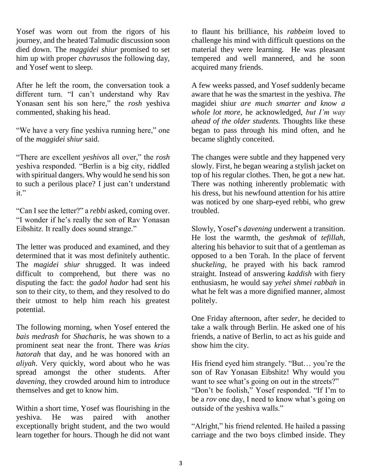Yosef was worn out from the rigors of his journey, and the heated Talmudic discussion soon died down. The *maggidei shiur* promised to set him up with proper *chavrusos* the following day, and Yosef went to sleep.

After he left the room, the conversation took a different turn. "I can't understand why Rav Yonasan sent his son here," the *rosh* yeshiva commented, shaking his head.

"We have a very fine yeshiva running here," one of the *maggidei shiur* said.

"There are excellent *yeshivos* all over," the *rosh* yeshiva responded. "Berlin is a big city, riddled with spiritual dangers. Why would he send his son to such a perilous place? I just can't understand it."

"Can I see the letter?" a *rebbi* asked, coming over. "I wonder if he's really the son of Rav Yonasan Eibshitz. It really does sound strange."

The letter was produced and examined, and they determined that it was most definitely authentic. The *magidei shiur* shrugged. It was indeed difficult to comprehend, but there was no disputing the fact: the *gadol hador* had sent his son to their city, to them, and they resolved to do their utmost to help him reach his greatest potential.

The following morning, when Yosef entered the *bais medrash* for *Shacharis*, he was shown to a prominent seat near the front. There was *krias hatorah* that day, and he was honored with an *aliyah*. Very quickly, word about who he was spread amongst the other students. After *davening*, they crowded around him to introduce themselves and get to know him.

Within a short time, Yosef was flourishing in the yeshiva. He was paired with another exceptionally bright student, and the two would learn together for hours. Though he did not want to flaunt his brilliance, his *rabbeim* loved to challenge his mind with difficult questions on the material they were learning. He was pleasant tempered and well mannered, and he soon acquired many friends.

A few weeks passed, and Yosef suddenly became aware that he was the smartest in the yeshiva. *The*  magidei shiur *are much smarter and know a whole lot more,* he acknowledged, *but I'm way ahead of the older students.* Thoughts like these began to pass through his mind often, and he became slightly conceited.

The changes were subtle and they happened very slowly. First, he began wearing a stylish jacket on top of his regular clothes. Then, he got a new hat. There was nothing inherently problematic with his dress, but his newfound attention for his attire was noticed by one sharp-eyed rebbi, who grew troubled.

Slowly, Yosef's *davening* underwent a transition. He lost the warmth, the *geshmak* of *tefillah*, altering his behavior to suit that of a gentleman as opposed to a ben Torah. In the place of fervent *shuckeling*, he prayed with his back ramrod straight. Instead of answering *kaddish* with fiery enthusiasm, he would say *yehei shmei rabbah* in what he felt was a more dignified manner, almost politely.

One Friday afternoon, after *seder*, he decided to take a walk through Berlin. He asked one of his friends, a native of Berlin, to act as his guide and show him the city.

His friend eyed him strangely. "But… you're the son of Rav Yonasan Eibshitz! Why would you want to see what's going on out in the streets?" "Don't be foolish," Yosef responded. "If I'm to be a *rov* one day, I need to know what's going on outside of the yeshiva walls."

"Alright," his friend relented. He hailed a passing carriage and the two boys climbed inside. They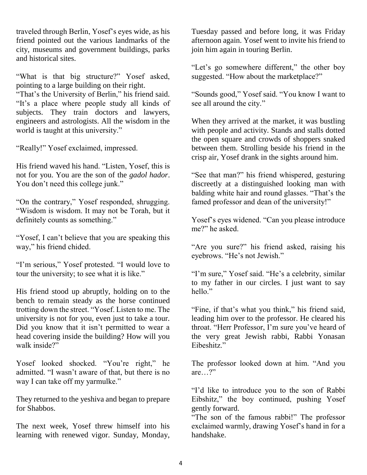traveled through Berlin, Yosef's eyes wide, as his friend pointed out the various landmarks of the city, museums and government buildings, parks and historical sites.

"What is that big structure?" Yosef asked, pointing to a large building on their right.

"That's the University of Berlin," his friend said. "It's a place where people study all kinds of subjects. They train doctors and lawyers, engineers and astrologists. All the wisdom in the world is taught at this university."

"Really!" Yosef exclaimed, impressed.

His friend waved his hand. "Listen, Yosef, this is not for you. You are the son of the *gadol hador*. You don't need this college junk."

"On the contrary," Yosef responded, shrugging. "Wisdom is wisdom. It may not be Torah, but it definitely counts as something."

"Yosef, I can't believe that you are speaking this way," his friend chided.

"I'm serious," Yosef protested. "I would love to tour the university; to see what it is like."

His friend stood up abruptly, holding on to the bench to remain steady as the horse continued trotting down the street. "Yosef. Listen to me. The university is not for you, even just to take a tour. Did you know that it isn't permitted to wear a head covering inside the building? How will you walk inside?"

Yosef looked shocked. "You're right," he admitted. "I wasn't aware of that, but there is no way I can take off my yarmulke."

They returned to the yeshiva and began to prepare for Shabbos.

The next week, Yosef threw himself into his learning with renewed vigor. Sunday, Monday,

Tuesday passed and before long, it was Friday afternoon again. Yosef went to invite his friend to join him again in touring Berlin.

"Let's go somewhere different," the other boy suggested. "How about the marketplace?"

"Sounds good," Yosef said. "You know I want to see all around the city."

When they arrived at the market, it was bustling with people and activity. Stands and stalls dotted the open square and crowds of shoppers snaked between them. Strolling beside his friend in the crisp air, Yosef drank in the sights around him.

"See that man?" his friend whispered, gesturing discreetly at a distinguished looking man with balding white hair and round glasses. "That's the famed professor and dean of the university!"

Yosef's eyes widened. "Can you please introduce me?" he asked.

"Are you sure?" his friend asked, raising his eyebrows. "He's not Jewish."

"I'm sure," Yosef said. "He's a celebrity, similar to my father in our circles. I just want to say hello"

"Fine, if that's what you think," his friend said, leading him over to the professor. He cleared his throat. "Herr Professor, I'm sure you've heard of the very great Jewish rabbi, Rabbi Yonasan Eibeshitz."

The professor looked down at him. "And you are…?"

"I'd like to introduce you to the son of Rabbi Eibshitz," the boy continued, pushing Yosef gently forward.

"The son of the famous rabbi!" The professor exclaimed warmly, drawing Yosef's hand in for a handshake.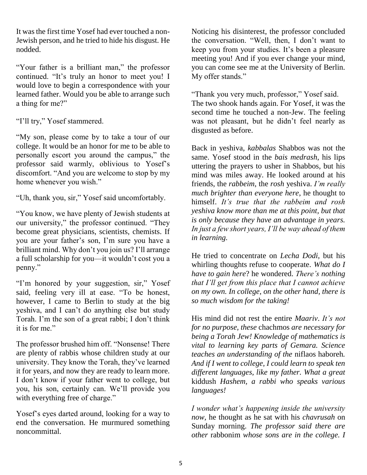It was the first time Yosef had ever touched a non-Jewish person, and he tried to hide his disgust. He nodded.

"Your father is a brilliant man," the professor continued. "It's truly an honor to meet you! I would love to begin a correspondence with your learned father. Would you be able to arrange such a thing for me?"

"I'll try," Yosef stammered.

"My son, please come by to take a tour of our college. It would be an honor for me to be able to personally escort you around the campus," the professor said warmly, oblivious to Yosef's discomfort. "And you are welcome to stop by my home whenever you wish."

"Uh, thank you, sir," Yosef said uncomfortably.

"You know, we have plenty of Jewish students at our university," the professor continued. "They become great physicians, scientists, chemists. If you are your father's son, I'm sure you have a brilliant mind. Why don't you join us? I'll arrange a full scholarship for you—it wouldn't cost you a penny."

"I'm honored by your suggestion, sir," Yosef said, feeling very ill at ease. "To be honest, however, I came to Berlin to study at the big yeshiva, and I can't do anything else but study Torah. I'm the son of a great rabbi; I don't think it is for me."

The professor brushed him off. "Nonsense! There are plenty of rabbis whose children study at our university. They know the Torah, they've learned it for years, and now they are ready to learn more. I don't know if your father went to college, but you, his son, certainly can. We'll provide you with everything free of charge."

Yosef's eyes darted around, looking for a way to end the conversation. He murmured something noncommittal.

Noticing his disinterest, the professor concluded the conversation. "Well, then, I don't want to keep you from your studies. It's been a pleasure meeting you! And if you ever change your mind, you can come see me at the University of Berlin. My offer stands."

"Thank you very much, professor," Yosef said. The two shook hands again. For Yosef, it was the second time he touched a non-Jew. The feeling was not pleasant, but he didn't feel nearly as disgusted as before.

Back in yeshiva, *kabbalas* Shabbos was not the same. Yosef stood in the *bais medrash*, his lips uttering the prayers to usher in Shabbos, but his mind was miles away. He looked around at his friends, the *rabbeim*, the *rosh* yeshiva. *I'm really much brighter than everyone here*, he thought to himself. *It's true that the rabbeim and rosh yeshiva know more than me at this point, but that is only because they have an advantage in years. In just a few short years, I'll be way ahead of them in learning.* 

He tried to concentrate on *Lecha Dodi*, but his whirling thoughts refuse to cooperate. *What do I have to gain here*? he wondered. *There's nothing that I'll get from this place that I cannot achieve on my own. In college, on the other hand, there is so much wisdom for the taking!*

His mind did not rest the entire *Maariv*. *It's not for no purpose, these* chachmos *are necessary for being a Torah Jew! Knowledge of mathematics is vital to learning key parts of Gemara. Science teaches an understanding of the* niflaos haboreh*. And if I went to college, I could learn to speak ten different languages, like my father. What a great*  kiddush *Hashem, a rabbi who speaks various languages!* 

*I wonder what's happening inside the university now,* he thought as he sat with his *chavrusah* on Sunday morning. *The professor said there are other* rabbonim *whose sons are in the college. I*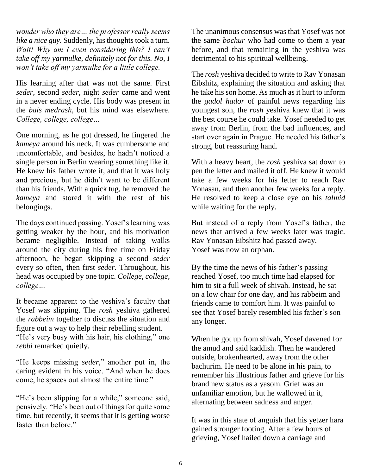*wonder who they are… the professor really seems like a nice guy.* Suddenly, his thoughts took a turn. *Wait! Why am I even considering this? I can't take off my yarmulke, definitely not for this. No, I won't take off my yarmulke for a little college.*

His learning after that was not the same. First *seder*, second *seder*, night *seder* came and went in a never ending cycle. His body was present in the *bais medrash*, but his mind was elsewhere. *College, college, college…*

One morning, as he got dressed, he fingered the *kameya* around his neck. It was cumbersome and uncomfortable, and besides, he hadn't noticed a single person in Berlin wearing something like it. He knew his father wrote it, and that it was holy and precious, but he didn't want to be different than his friends. With a quick tug, he removed the *kameya* and stored it with the rest of his belongings.

The days continued passing. Yosef's learning was getting weaker by the hour, and his motivation became negligible. Instead of taking walks around the city during his free time on Friday afternoon, he began skipping a second *seder* every so often, then first *seder*. Throughout, his head was occupied by one topic. *College, college, college…*

It became apparent to the yeshiva's faculty that Yosef was slipping. The *rosh* yeshiva gathered the *rabbeim* together to discuss the situation and figure out a way to help their rebelling student. "He's very busy with his hair, his clothing," one

*rebbi* remarked quietly.

"He keeps missing *seder*," another put in, the caring evident in his voice. "And when he does come, he spaces out almost the entire time."

"He's been slipping for a while," someone said, pensively. "He's been out of things for quite some time, but recently, it seems that it is getting worse faster than before."

The unanimous consensus was that Yosef was not the same *bochur* who had come to them a year before, and that remaining in the yeshiva was detrimental to his spiritual wellbeing.

The *rosh* yeshiva decided to write to Rav Yonasan Eibshitz, explaining the situation and asking that he take his son home. As much as it hurt to inform the *gadol hador* of painful news regarding his youngest son, the *rosh* yeshiva knew that it was the best course he could take. Yosef needed to get away from Berlin, from the bad influences, and start over again in Prague. He needed his father's strong, but reassuring hand.

With a heavy heart, the *rosh* yeshiva sat down to pen the letter and mailed it off. He knew it would take a few weeks for his letter to reach Rav Yonasan, and then another few weeks for a reply. He resolved to keep a close eye on his *talmid* while waiting for the reply.

But instead of a reply from Yosef's father, the news that arrived a few weeks later was tragic. Rav Yonasan Eibshitz had passed away. Yosef was now an orphan.

By the time the news of his father's passing reached Yosef, too much time had elapsed for him to sit a full week of shivah. Instead, he sat on a low chair for one day, and his rabbeim and friends came to comfort him. It was painful to see that Yosef barely resembled his father's son any longer.

When he got up from shivah, Yosef davened for the amud and said kaddish. Then he wandered outside, brokenhearted, away from the other bachurim. He need to be alone in his pain, to remember his illustrious father and grieve for his brand new status as a yasom. Grief was an unfamiliar emotion, but he wallowed in it, alternating between sadness and anger.

It was in this state of anguish that his yetzer hara gained stronger footing. After a few hours of grieving, Yosef hailed down a carriage and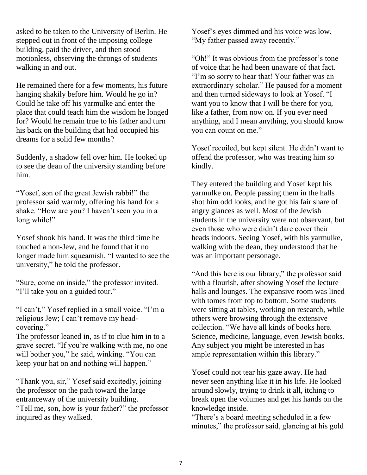asked to be taken to the University of Berlin. He stepped out in front of the imposing college building, paid the driver, and then stood motionless, observing the throngs of students walking in and out.

He remained there for a few moments, his future hanging shakily before him. Would he go in? Could he take off his yarmulke and enter the place that could teach him the wisdom he longed for? Would he remain true to his father and turn his back on the building that had occupied his dreams for a solid few months?

Suddenly, a shadow fell over him. He looked up to see the dean of the university standing before him.

"Yosef, son of the great Jewish rabbi!" the professor said warmly, offering his hand for a shake. "How are you? I haven't seen you in a long while!"

Yosef shook his hand. It was the third time he touched a non-Jew, and he found that it no longer made him squeamish. "I wanted to see the university," he told the professor.

"Sure, come on inside," the professor invited. "I'll take you on a guided tour."

"I can't," Yosef replied in a small voice. "I'm a religious Jew; I can't remove my headcovering."

The professor leaned in, as if to clue him in to a grave secret. "If you're walking with me, no one will bother you," he said, winking. "You can keep your hat on and nothing will happen."

"Thank you, sir," Yosef said excitedly, joining the professor on the path toward the large entranceway of the university building. "Tell me, son, how is your father?" the professor inquired as they walked.

Yosef's eyes dimmed and his voice was low. "My father passed away recently."

"Oh!" It was obvious from the professor's tone of voice that he had been unaware of that fact. "I'm so sorry to hear that! Your father was an extraordinary scholar." He paused for a moment and then turned sideways to look at Yosef. "I want you to know that I will be there for you, like a father, from now on. If you ever need anything, and I mean anything, you should know you can count on me."

Yosef recoiled, but kept silent. He didn't want to offend the professor, who was treating him so kindly.

They entered the building and Yosef kept his yarmulke on. People passing them in the halls shot him odd looks, and he got his fair share of angry glances as well. Most of the Jewish students in the university were not observant, but even those who were didn't dare cover their heads indoors. Seeing Yosef, with his yarmulke, walking with the dean, they understood that he was an important personage.

"And this here is our library," the professor said with a flourish, after showing Yosef the lecture halls and lounges. The expansive room was lined with tomes from top to bottom. Some students were sitting at tables, working on research, while others were browsing through the extensive collection. "We have all kinds of books here. Science, medicine, language, even Jewish books. Any subject you might be interested in has ample representation within this library."

Yosef could not tear his gaze away. He had never seen anything like it in his life. He looked around slowly, trying to drink it all, itching to break open the volumes and get his hands on the knowledge inside.

"There's a board meeting scheduled in a few minutes," the professor said, glancing at his gold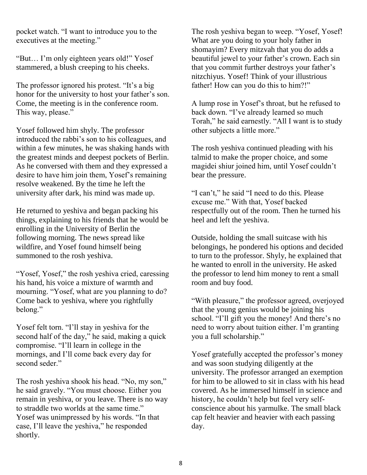pocket watch. "I want to introduce you to the executives at the meeting."

"But… I'm only eighteen years old!" Yosef stammered, a blush creeping to his cheeks.

The professor ignored his protest. "It's a big honor for the university to host your father's son. Come, the meeting is in the conference room. This way, please."

Yosef followed him shyly. The professor introduced the rabbi's son to his colleagues, and within a few minutes, he was shaking hands with the greatest minds and deepest pockets of Berlin. As he conversed with them and they expressed a desire to have him join them, Yosef's remaining resolve weakened. By the time he left the university after dark, his mind was made up.

He returned to yeshiva and began packing his things, explaining to his friends that he would be enrolling in the University of Berlin the following morning. The news spread like wildfire, and Yosef found himself being summoned to the rosh yeshiva.

"Yosef, Yosef," the rosh yeshiva cried, caressing his hand, his voice a mixture of warmth and mourning. "Yosef, what are you planning to do? Come back to yeshiva, where you rightfully belong."

Yosef felt torn. "I'll stay in yeshiva for the second half of the day," he said, making a quick compromise. "I'll learn in college in the mornings, and I'll come back every day for second seder."

The rosh yeshiva shook his head. "No, my son," he said gravely. "You must choose. Either you remain in yeshiva, or you leave. There is no way to straddle two worlds at the same time." Yosef was unimpressed by his words. "In that case, I'll leave the yeshiva," he responded shortly.

The rosh yeshiva began to weep. "Yosef, Yosef! What are you doing to your holy father in shomayim? Every mitzvah that you do adds a beautiful jewel to your father's crown. Each sin that you commit further destroys your father's nitzchiyus. Yosef! Think of your illustrious father! How can you do this to him?!"

A lump rose in Yosef's throat, but he refused to back down. "I've already learned so much Torah," he said earnestly. "All I want is to study other subjects a little more."

The rosh yeshiva continued pleading with his talmid to make the proper choice, and some magidei shiur joined him, until Yosef couldn't bear the pressure.

"I can't," he said "I need to do this. Please excuse me." With that, Yosef backed respectfully out of the room. Then he turned his heel and left the yeshiva.

Outside, holding the small suitcase with his belongings, he pondered his options and decided to turn to the professor. Shyly, he explained that he wanted to enroll in the university. He asked the professor to lend him money to rent a small room and buy food.

"With pleasure," the professor agreed, overjoyed that the young genius would be joining his school. "I'll gift you the money! And there's no need to worry about tuition either. I'm granting you a full scholarship."

Yosef gratefully accepted the professor's money and was soon studying diligently at the university. The professor arranged an exemption for him to be allowed to sit in class with his head covered. As he immersed himself in science and history, he couldn't help but feel very selfconscience about his yarmulke. The small black cap felt heavier and heavier with each passing day.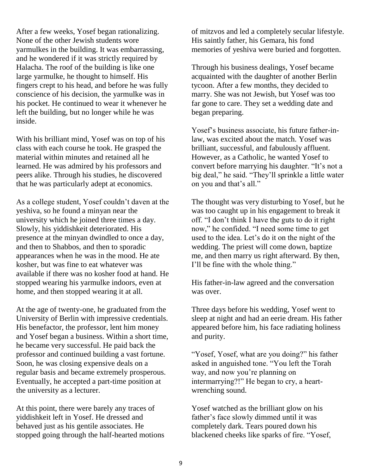After a few weeks, Yosef began rationalizing. None of the other Jewish students wore yarmulkes in the building. It was embarrassing, and he wondered if it was strictly required by Halacha. The roof of the building is like one large yarmulke, he thought to himself. His fingers crept to his head, and before he was fully conscience of his decision, the yarmulke was in his pocket. He continued to wear it whenever he left the building, but no longer while he was inside.

With his brilliant mind, Yosef was on top of his class with each course he took. He grasped the material within minutes and retained all he learned. He was admired by his professors and peers alike. Through his studies, he discovered that he was particularly adept at economics.

As a college student, Yosef couldn't daven at the yeshiva, so he found a minyan near the university which he joined three times a day. Slowly, his yiddishkeit deteriorated. His presence at the minyan dwindled to once a day, and then to Shabbos, and then to sporadic appearances when he was in the mood. He ate kosher, but was fine to eat whatever was available if there was no kosher food at hand. He stopped wearing his yarmulke indoors, even at home, and then stopped wearing it at all.

At the age of twenty-one, he graduated from the University of Berlin with impressive credentials. His benefactor, the professor, lent him money and Yosef began a business. Within a short time, he became very successful. He paid back the professor and continued building a vast fortune. Soon, he was closing expensive deals on a regular basis and became extremely prosperous. Eventually, he accepted a part-time position at the university as a lecturer.

At this point, there were barely any traces of yiddishkeit left in Yosef. He dressed and behaved just as his gentile associates. He stopped going through the half-hearted motions

of mitzvos and led a completely secular lifestyle. His saintly father, his Gemara, his fond memories of yeshiva were buried and forgotten.

Through his business dealings, Yosef became acquainted with the daughter of another Berlin tycoon. After a few months, they decided to marry. She was not Jewish, but Yosef was too far gone to care. They set a wedding date and began preparing.

Yosef's business associate, his future father-inlaw, was excited about the match. Yosef was brilliant, successful, and fabulously affluent. However, as a Catholic, he wanted Yosef to convert before marrying his daughter. "It's not a big deal," he said. "They'll sprinkle a little water on you and that's all."

The thought was very disturbing to Yosef, but he was too caught up in his engagement to break it off. "I don't think I have the guts to do it right now," he confided. "I need some time to get used to the idea. Let's do it on the night of the wedding. The priest will come down, baptize me, and then marry us right afterward. By then, I'll be fine with the whole thing."

His father-in-law agreed and the conversation was over.

Three days before his wedding, Yosef went to sleep at night and had an eerie dream. His father appeared before him, his face radiating holiness and purity.

"Yosef, Yosef, what are you doing?" his father asked in anguished tone. "You left the Torah way, and now you're planning on intermarrying?!" He began to cry, a heartwrenching sound.

Yosef watched as the brilliant glow on his father's face slowly dimmed until it was completely dark. Tears poured down his blackened cheeks like sparks of fire. "Yosef,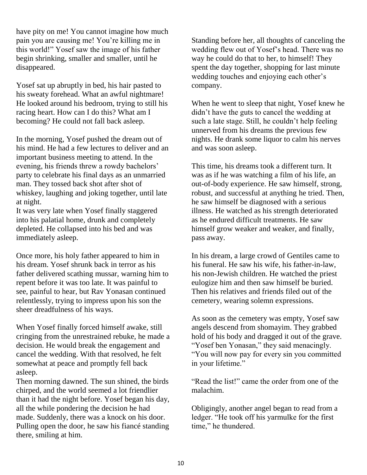have pity on me! You cannot imagine how much pain you are causing me! You're killing me in this world!" Yosef saw the image of his father begin shrinking, smaller and smaller, until he disappeared.

Yosef sat up abruptly in bed, his hair pasted to his sweaty forehead. What an awful nightmare! He looked around his bedroom, trying to still his racing heart. How can I do this? What am I becoming? He could not fall back asleep.

In the morning, Yosef pushed the dream out of his mind. He had a few lectures to deliver and an important business meeting to attend. In the evening, his friends threw a rowdy bachelors' party to celebrate his final days as an unmarried man. They tossed back shot after shot of whiskey, laughing and joking together, until late at night.

It was very late when Yosef finally staggered into his palatial home, drunk and completely depleted. He collapsed into his bed and was immediately asleep.

Once more, his holy father appeared to him in his dream. Yosef shrunk back in terror as his father delivered scathing mussar, warning him to repent before it was too late. It was painful to see, painful to hear, but Rav Yonasan continued relentlessly, trying to impress upon his son the sheer dreadfulness of his ways.

When Yosef finally forced himself awake, still cringing from the unrestrained rebuke, he made a decision. He would break the engagement and cancel the wedding. With that resolved, he felt somewhat at peace and promptly fell back asleep.

Then morning dawned. The sun shined, the birds chirped, and the world seemed a lot friendlier than it had the night before. Yosef began his day, all the while pondering the decision he had made. Suddenly, there was a knock on his door. Pulling open the door, he saw his fiancé standing there, smiling at him.

Standing before her, all thoughts of canceling the wedding flew out of Yosef's head. There was no way he could do that to her, to himself! They spent the day together, shopping for last minute wedding touches and enjoying each other's company.

When he went to sleep that night, Yosef knew he didn't have the guts to cancel the wedding at such a late stage. Still, he couldn't help feeling unnerved from his dreams the previous few nights. He drank some liquor to calm his nerves and was soon asleep.

This time, his dreams took a different turn. It was as if he was watching a film of his life, an out-of-body experience. He saw himself, strong, robust, and successful at anything he tried. Then, he saw himself be diagnosed with a serious illness. He watched as his strength deteriorated as he endured difficult treatments. He saw himself grow weaker and weaker, and finally, pass away.

In his dream, a large crowd of Gentiles came to his funeral. He saw his wife, his father-in-law, his non-Jewish children. He watched the priest eulogize him and then saw himself be buried. Then his relatives and friends filed out of the cemetery, wearing solemn expressions.

As soon as the cemetery was empty, Yosef saw angels descend from shomayim. They grabbed hold of his body and dragged it out of the grave. "Yosef ben Yonasan," they said menacingly. "You will now pay for every sin you committed in your lifetime."

"Read the list!" came the order from one of the malachim.

Obligingly, another angel began to read from a ledger. "He took off his yarmulke for the first time," he thundered.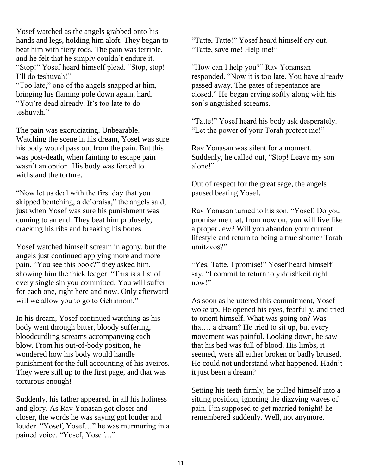Yosef watched as the angels grabbed onto his hands and legs, holding him aloft. They began to beat him with fiery rods. The pain was terrible, and he felt that he simply couldn't endure it. "Stop!" Yosef heard himself plead. "Stop, stop! I'll do teshuvah!"

"Too late," one of the angels snapped at him, bringing his flaming pole down again, hard. "You're dead already. It's too late to do teshuvah."

The pain was excruciating. Unbearable. Watching the scene in his dream, Yosef was sure his body would pass out from the pain. But this was post-death, when fainting to escape pain wasn't an option. His body was forced to withstand the torture.

"Now let us deal with the first day that you skipped bentching, a de'oraisa," the angels said, just when Yosef was sure his punishment was coming to an end. They beat him profusely, cracking his ribs and breaking his bones.

Yosef watched himself scream in agony, but the angels just continued applying more and more pain. "You see this book?" they asked him, showing him the thick ledger. "This is a list of every single sin you committed. You will suffer for each one, right here and now. Only afterward will we allow you to go to Gehinnom."

In his dream, Yosef continued watching as his body went through bitter, bloody suffering, bloodcurdling screams accompanying each blow. From his out-of-body position, he wondered how his body would handle punishment for the full accounting of his aveiros. They were still up to the first page, and that was torturous enough!

Suddenly, his father appeared, in all his holiness and glory. As Rav Yonasan got closer and closer, the words he was saying got louder and louder. "Yosef, Yosef…" he was murmuring in a pained voice. "Yosef, Yosef…"

"Tatte, Tatte!" Yosef heard himself cry out. "Tatte, save me! Help me!"

"How can I help you?" Rav Yonansan responded. "Now it is too late. You have already passed away. The gates of repentance are closed." He began crying softly along with his son's anguished screams.

"Tatte!" Yosef heard his body ask desperately. "Let the power of your Torah protect me!"

Rav Yonasan was silent for a moment. Suddenly, he called out, "Stop! Leave my son alone!"

Out of respect for the great sage, the angels paused beating Yosef.

Rav Yonasan turned to his son. "Yosef. Do you promise me that, from now on, you will live like a proper Jew? Will you abandon your current lifestyle and return to being a true shomer Torah umitzvos?"

"Yes, Tatte, I promise!" Yosef heard himself say. "I commit to return to yiddishkeit right now!"

As soon as he uttered this commitment, Yosef woke up. He opened his eyes, fearfully, and tried to orient himself. What was going on? Was that… a dream? He tried to sit up, but every movement was painful. Looking down, he saw that his bed was full of blood. His limbs, it seemed, were all either broken or badly bruised. He could not understand what happened. Hadn't it just been a dream?

Setting his teeth firmly, he pulled himself into a sitting position, ignoring the dizzying waves of pain. I'm supposed to get married tonight! he remembered suddenly. Well, not anymore.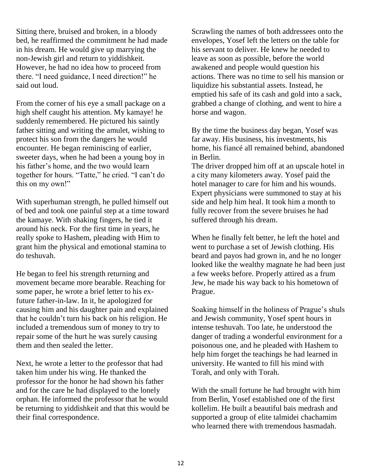Sitting there, bruised and broken, in a bloody bed, he reaffirmed the commitment he had made in his dream. He would give up marrying the non-Jewish girl and return to yiddishkeit. However, he had no idea how to proceed from there. "I need guidance, I need direction!" he said out loud.

From the corner of his eye a small package on a high shelf caught his attention. My kamaye! he suddenly remembered. He pictured his saintly father sitting and writing the amulet, wishing to protect his son from the dangers he would encounter. He began reminiscing of earlier, sweeter days, when he had been a young boy in his father's home, and the two would learn together for hours. "Tatte," he cried. "I can't do this on my own!"

With superhuman strength, he pulled himself out of bed and took one painful step at a time toward the kamaye. With shaking fingers, he tied it around his neck. For the first time in years, he really spoke to Hashem, pleading with Him to grant him the physical and emotional stamina to do teshuvah.

He began to feel his strength returning and movement became more bearable. Reaching for some paper, he wrote a brief letter to his exfuture father-in-law. In it, he apologized for causing him and his daughter pain and explained that he couldn't turn his back on his religion. He included a tremendous sum of money to try to repair some of the hurt he was surely causing them and then sealed the letter.

Next, he wrote a letter to the professor that had taken him under his wing. He thanked the professor for the honor he had shown his father and for the care he had displayed to the lonely orphan. He informed the professor that he would be returning to yiddishkeit and that this would be their final correspondence.

Scrawling the names of both addressees onto the envelopes, Yosef left the letters on the table for his servant to deliver. He knew he needed to leave as soon as possible, before the world awakened and people would question his actions. There was no time to sell his mansion or liquidize his substantial assets. Instead, he emptied his safe of its cash and gold into a sack, grabbed a change of clothing, and went to hire a horse and wagon.

By the time the business day began, Yosef was far away. His business, his investments, his home, his fiancé all remained behind, abandoned in Berlin.

The driver dropped him off at an upscale hotel in a city many kilometers away. Yosef paid the hotel manager to care for him and his wounds. Expert physicians were summoned to stay at his side and help him heal. It took him a month to fully recover from the severe bruises he had suffered through his dream.

When he finally felt better, he left the hotel and went to purchase a set of Jewish clothing. His beard and payos had grown in, and he no longer looked like the wealthy magnate he had been just a few weeks before. Properly attired as a frum Jew, he made his way back to his hometown of Prague.

Soaking himself in the holiness of Prague's shuls and Jewish community, Yosef spent hours in intense teshuvah. Too late, he understood the danger of trading a wonderful environment for a poisonous one, and he pleaded with Hashem to help him forget the teachings he had learned in university. He wanted to fill his mind with Torah, and only with Torah.

With the small fortune he had brought with him from Berlin, Yosef established one of the first kollelim. He built a beautiful bais medrash and supported a group of elite talmidei chachamim who learned there with tremendous hasmadah.